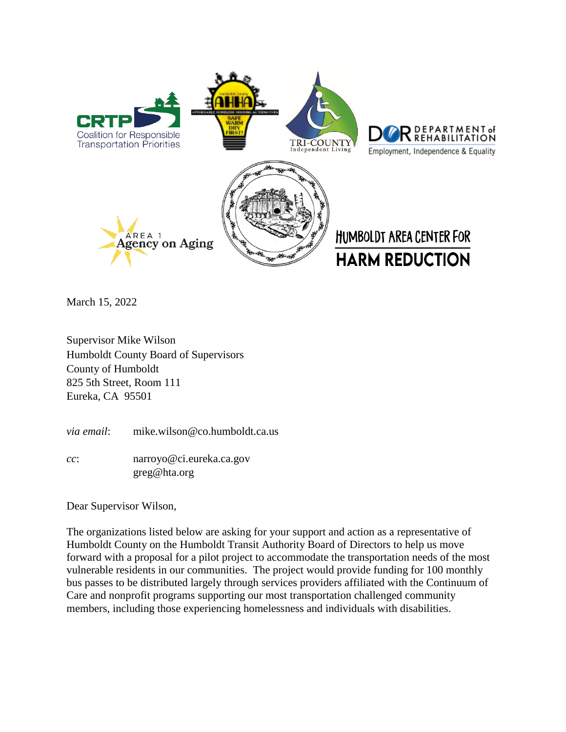

March 15, 2022

Supervisor Mike Wilson Humboldt County Board of Supervisors County of Humboldt 825 5th Street, Room 111 Eureka, CA 95501

*via email*: mike.wilson@co.humboldt.ca.us

*cc*: narroyo@ci.eureka.ca.gov greg@hta.org

Dear Supervisor Wilson,

The organizations listed below are asking for your support and action as a representative of Humboldt County on the Humboldt Transit Authority Board of Directors to help us move forward with a proposal for a pilot project to accommodate the transportation needs of the most vulnerable residents in our communities. The project would provide funding for 100 monthly bus passes to be distributed largely through services providers affiliated with the Continuum of Care and nonprofit programs supporting our most transportation challenged community members, including those experiencing homelessness and individuals with disabilities.